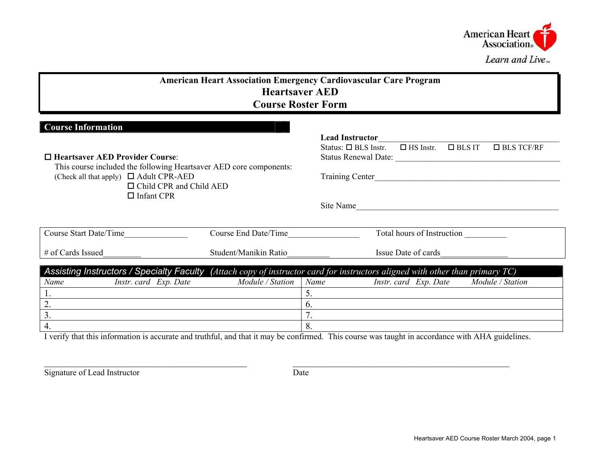

| <b>American Heart Association Emergency Cardiovascular Care Program</b><br><b>Heartsaver AED</b><br><b>Course Roster Form</b>                                                                                                                  |                       |                                                                                                                                                                                                            |  |  |  |  |  |  |  |  |  |
|------------------------------------------------------------------------------------------------------------------------------------------------------------------------------------------------------------------------------------------------|-----------------------|------------------------------------------------------------------------------------------------------------------------------------------------------------------------------------------------------------|--|--|--|--|--|--|--|--|--|
| <b>Course Information</b><br>$\Box$ Heartsaver AED Provider Course<br>This course included the following Heartsaver AED core components:<br>(Check all that apply) $\Box$ Adult CPR-AED<br>$\Box$ Child CPR and Child AED<br>$\Box$ Infant CPR |                       | <b>Lead Instructor</b><br>$\Box$ HS Instr. $\Box$ BLS IT<br>Status: $\Box$ BLS Instr.<br>$\Box$ BLS TCF/RF<br>Status Renewal Date:<br><b>Training Center</b><br>Site Name                                  |  |  |  |  |  |  |  |  |  |
| Course Start Date/Time                                                                                                                                                                                                                         | Course End Date/Time  | Total hours of Instruction                                                                                                                                                                                 |  |  |  |  |  |  |  |  |  |
| # of Cards Issued                                                                                                                                                                                                                              | Student/Manikin Ratio | Issue Date of cards                                                                                                                                                                                        |  |  |  |  |  |  |  |  |  |
| Name<br>Instr. card Exp. Date<br>1.<br>2.<br>3.<br>$\overline{4}$ .                                                                                                                                                                            | Module / Station      | Assisting Instructors / Specialty Faculty (Attach copy of instructor card for instructors aligned with other than primary TC)<br>Name<br>Module / Station<br>Instr. card Exp. Date<br>5.<br>6.<br>7.<br>8. |  |  |  |  |  |  |  |  |  |

I verify that this information is accurate and truthful, and that it may be confirmed. This course was taught in accordance with AHA guidelines.

 $\_$ 

Signature of Lead Instructor Date